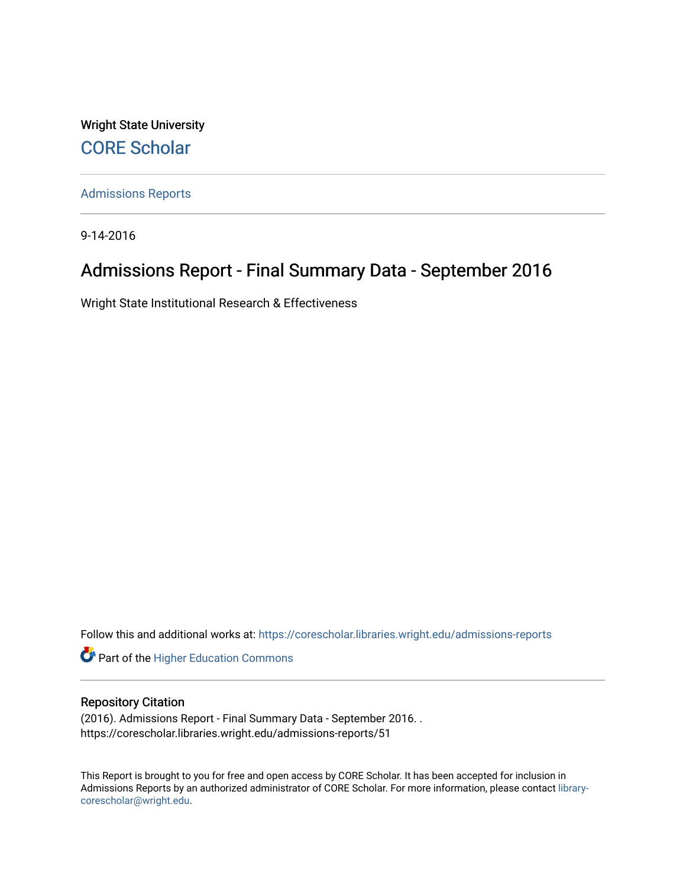Wright State University [CORE Scholar](https://corescholar.libraries.wright.edu/)

[Admissions Reports](https://corescholar.libraries.wright.edu/admissions-reports) 

9-14-2016

## Admissions Report - Final Summary Data - September 2016

Wright State Institutional Research & Effectiveness

Follow this and additional works at: [https://corescholar.libraries.wright.edu/admissions-reports](https://corescholar.libraries.wright.edu/admissions-reports?utm_source=corescholar.libraries.wright.edu%2Fadmissions-reports%2F51&utm_medium=PDF&utm_campaign=PDFCoverPages) 

**Part of the Higher Education Commons** 

### Repository Citation

(2016). Admissions Report - Final Summary Data - September 2016. . https://corescholar.libraries.wright.edu/admissions-reports/51

This Report is brought to you for free and open access by CORE Scholar. It has been accepted for inclusion in Admissions Reports by an authorized administrator of CORE Scholar. For more information, please contact [library](mailto:library-corescholar@wright.edu)[corescholar@wright.edu](mailto:library-corescholar@wright.edu).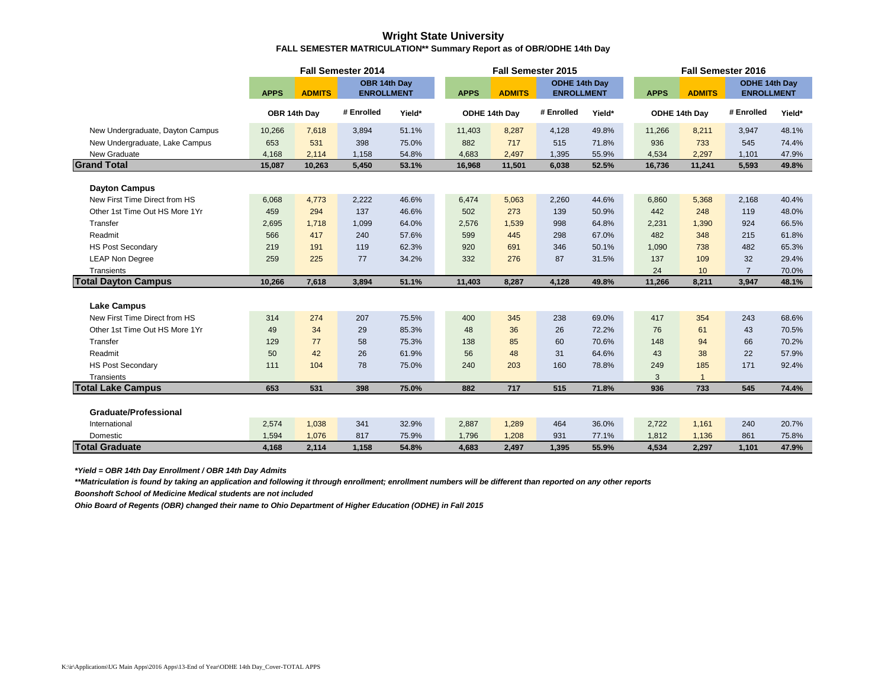### **Wright State University FALL SEMESTER MATRICULATION\*\* Summary Report as of OBR/ODHE 14th Day**

|                                                       |             |               | Fall Semester 2014 |        |             |               | <b>Fall Semester 2015</b> |        |             |               | Fall Semester 2016 |        |
|-------------------------------------------------------|-------------|---------------|--------------------|--------|-------------|---------------|---------------------------|--------|-------------|---------------|--------------------|--------|
|                                                       |             |               | OBR 14th Day       |        |             |               | ODHE 14th Day             |        |             |               | ODHE 14th Day      |        |
|                                                       | <b>APPS</b> | <b>ADMITS</b> | <b>ENROLLMENT</b>  |        | <b>APPS</b> | <b>ADMITS</b> | <b>ENROLLMENT</b>         |        | <b>APPS</b> | <b>ADMITS</b> | <b>ENROLLMENT</b>  |        |
|                                                       |             | OBR 14th Day  | # Enrolled         | Yield* |             | ODHE 14th Day | # Enrolled                | Yield* |             | ODHE 14th Day | # Enrolled         | Yield* |
| New Undergraduate, Dayton Campus                      | 10,266      | 7,618         | 3,894              | 51.1%  | 11,403      | 8,287         | 4,128                     | 49.8%  | 11,266      | 8,211         | 3,947              | 48.1%  |
| New Undergraduate, Lake Campus                        | 653         | 531           | 398                | 75.0%  | 882         | 717           | 515                       | 71.8%  | 936         | 733           | 545                | 74.4%  |
| New Graduate                                          | 4,168       | 2,114         | 1,158              | 54.8%  | 4,683       | 2,497         | 1,395                     | 55.9%  | 4,534       | 2,297         | 1,101              | 47.9%  |
| <b>Grand Total</b>                                    | 15,087      | 10,263        | 5,450              | 53.1%  | 16,968      | 11,501        | 6,038                     | 52.5%  | 16,736      | 11,241        | 5,593              | 49.8%  |
|                                                       |             |               |                    |        |             |               |                           |        |             |               |                    |        |
| <b>Dayton Campus</b><br>New First Time Direct from HS | 6,068       | 4,773         | 2,222              | 46.6%  | 6,474       | 5,063         | 2,260                     | 44.6%  | 6,860       | 5,368         | 2,168              | 40.4%  |
| Other 1st Time Out HS More 1Yr                        | 459         | 294           | 137                | 46.6%  | 502         | 273           | 139                       | 50.9%  | 442         | 248           | 119                | 48.0%  |
| Transfer                                              | 2,695       | 1,718         | 1,099              | 64.0%  | 2,576       | 1,539         | 998                       | 64.8%  | 2,231       | 1,390         | 924                | 66.5%  |
| Readmit                                               | 566         | 417           | 240                | 57.6%  | 599         | 445           | 298                       | 67.0%  | 482         | 348           | 215                | 61.8%  |
| <b>HS Post Secondary</b>                              | 219         | 191           | 119                | 62.3%  | 920         | 691           | 346                       | 50.1%  | 1,090       | 738           | 482                | 65.3%  |
| <b>LEAP Non Degree</b>                                | 259         | 225           | 77                 | 34.2%  | 332         | 276           | 87                        | 31.5%  | 137         | 109           | 32                 | 29.4%  |
| Transients                                            |             |               |                    |        |             |               |                           |        | 24          | 10            | $\overline{7}$     | 70.0%  |
| <b>Total Dayton Campus</b>                            | 10,266      | 7,618         | 3,894              | 51.1%  | 11,403      | 8,287         | 4,128                     | 49.8%  | 11,266      | 8,211         | 3,947              | 48.1%  |
|                                                       |             |               |                    |        |             |               |                           |        |             |               |                    |        |
| <b>Lake Campus</b>                                    |             |               |                    |        |             |               |                           |        |             |               |                    |        |
| New First Time Direct from HS                         | 314         | 274           | 207                | 75.5%  | 400         | 345           | 238                       | 69.0%  | 417         | 354           | 243                | 68.6%  |
| Other 1st Time Out HS More 1Yr                        | 49          | 34            | 29                 | 85.3%  | 48          | 36            | 26                        | 72.2%  | 76          | 61            | 43                 | 70.5%  |
| Transfer                                              | 129         | 77            | 58                 | 75.3%  | 138         | 85            | 60                        | 70.6%  | 148         | 94            | 66                 | 70.2%  |
| Readmit                                               | 50          | 42            | 26                 | 61.9%  | 56          | 48            | 31                        | 64.6%  | 43          | 38            | 22                 | 57.9%  |
| <b>HS Post Secondary</b>                              | 111         | 104           | 78                 | 75.0%  | 240         | 203           | 160                       | 78.8%  | 249         | 185           | 171                | 92.4%  |
| Transients                                            |             |               |                    |        |             |               |                           |        | 3           |               |                    |        |
| <b>Total Lake Campus</b>                              | 653         | 531           | 398                | 75.0%  | 882         | 717           | 515                       | 71.8%  | 936         | 733           | 545                | 74.4%  |
| <b>Graduate/Professional</b>                          |             |               |                    |        |             |               |                           |        |             |               |                    |        |
| International                                         | 2,574       | 1,038         | 341                | 32.9%  | 2,887       | 1,289         | 464                       | 36.0%  | 2,722       | 1,161         | 240                | 20.7%  |
| Domestic                                              | 1,594       | 1,076         | 817                | 75.9%  | 1,796       | 1,208         | 931                       | 77.1%  | 1,812       | 1,136         | 861                | 75.8%  |
| <b>Total Graduate</b>                                 | 4,168       | 2,114         | 1,158              | 54.8%  | 4,683       | 2,497         | 1,395                     | 55.9%  | 4,534       | 2,297         | 1,101              | 47.9%  |

*\*Yield = OBR 14th Day Enrollment / OBR 14th Day Admits*

*\*\*Matriculation is found by taking an application and following it through enrollment; enrollment numbers will be different than reported on any other reports*

*Boonshoft School of Medicine Medical students are not included*

*Ohio Board of Regents (OBR) changed their name to Ohio Department of Higher Education (ODHE) in Fall 2015*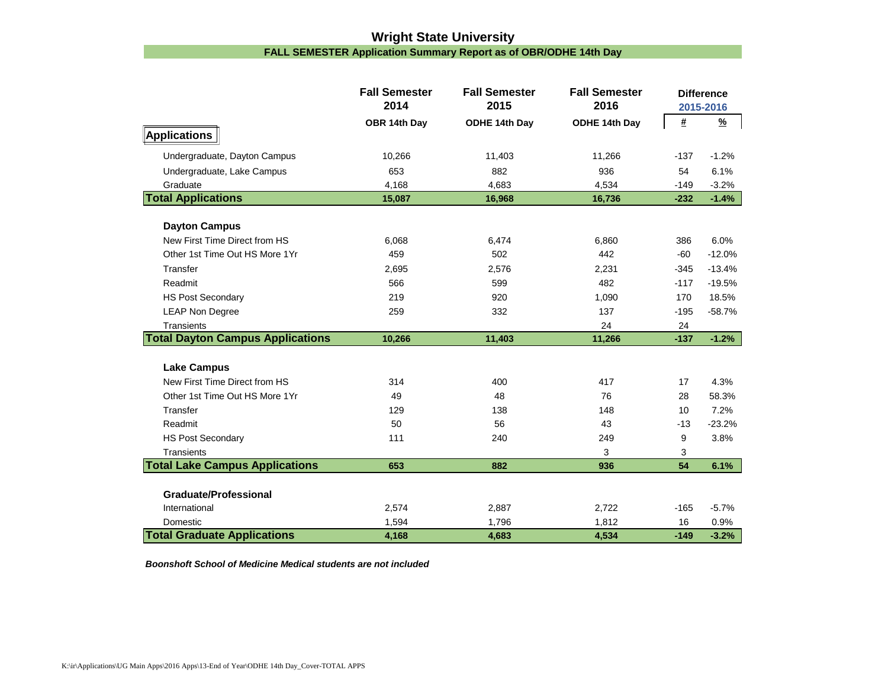### **Wright State University FALL SEMESTER Application Summary Report as of OBR/ODHE 14th Day**

|                                         | <b>Fall Semester</b><br>2014 | <b>Fall Semester</b><br>2015 | <b>Fall Semester</b><br>2016 |        | <b>Difference</b><br>2015-2016 |
|-----------------------------------------|------------------------------|------------------------------|------------------------------|--------|--------------------------------|
|                                         | OBR 14th Day                 | ODHE 14th Day                | ODHE 14th Day                | #      | $\frac{9}{6}$                  |
| Applications                            |                              |                              |                              |        |                                |
| Undergraduate, Dayton Campus            | 10,266                       | 11,403                       | 11,266                       | $-137$ | $-1.2%$                        |
| Undergraduate, Lake Campus              | 653                          | 882                          | 936                          | 54     | 6.1%                           |
| Graduate                                | 4,168                        | 4,683                        | 4,534                        | $-149$ | $-3.2%$                        |
| <b>Total Applications</b>               | 15,087                       | 16,968                       | 16,736                       | $-232$ | $-1.4%$                        |
|                                         |                              |                              |                              |        |                                |
| <b>Dayton Campus</b>                    |                              |                              |                              |        |                                |
| New First Time Direct from HS           | 6,068                        | 6,474                        | 6,860                        | 386    | 6.0%                           |
| Other 1st Time Out HS More 1Yr          | 459                          | 502                          | 442                          | -60    | $-12.0%$                       |
| Transfer                                | 2,695                        | 2,576                        | 2,231                        | $-345$ | $-13.4%$                       |
| Readmit                                 | 566                          | 599                          | 482                          | $-117$ | $-19.5%$                       |
| <b>HS Post Secondary</b>                | 219                          | 920                          | 1,090                        | 170    | 18.5%                          |
| <b>LEAP Non Degree</b>                  | 259                          | 332                          | 137                          | $-195$ | $-58.7%$                       |
| Transients                              |                              |                              | 24                           | 24     |                                |
| <b>Total Dayton Campus Applications</b> | 10,266                       | 11,403                       | 11,266                       | $-137$ | $-1.2%$                        |
| <b>Lake Campus</b>                      |                              |                              |                              |        |                                |
| New First Time Direct from HS           | 314                          | 400                          | 417                          | 17     | 4.3%                           |
| Other 1st Time Out HS More 1Yr          | 49                           | 48                           | 76                           | 28     | 58.3%                          |
| Transfer                                | 129                          | 138                          | 148                          | 10     | 7.2%                           |
| Readmit                                 | 50                           | 56                           | 43                           | $-13$  | $-23.2%$                       |
| <b>HS Post Secondary</b>                | 111                          | 240                          | 249                          | 9      | 3.8%                           |
| Transients                              |                              |                              | 3                            | 3      |                                |
| <b>Total Lake Campus Applications</b>   | 653                          | 882                          | 936                          | 54     | 6.1%                           |
|                                         |                              |                              |                              |        |                                |
| <b>Graduate/Professional</b>            |                              |                              |                              |        |                                |
| International                           | 2,574                        | 2,887                        | 2,722                        | $-165$ | $-5.7%$                        |
| Domestic                                | 1,594                        | 1,796                        | 1,812                        | 16     | 0.9%                           |
| <b>Total Graduate Applications</b>      | 4,168                        | 4,683                        | 4,534                        | $-149$ | $-3.2%$                        |

*Boonshoft School of Medicine Medical students are not included*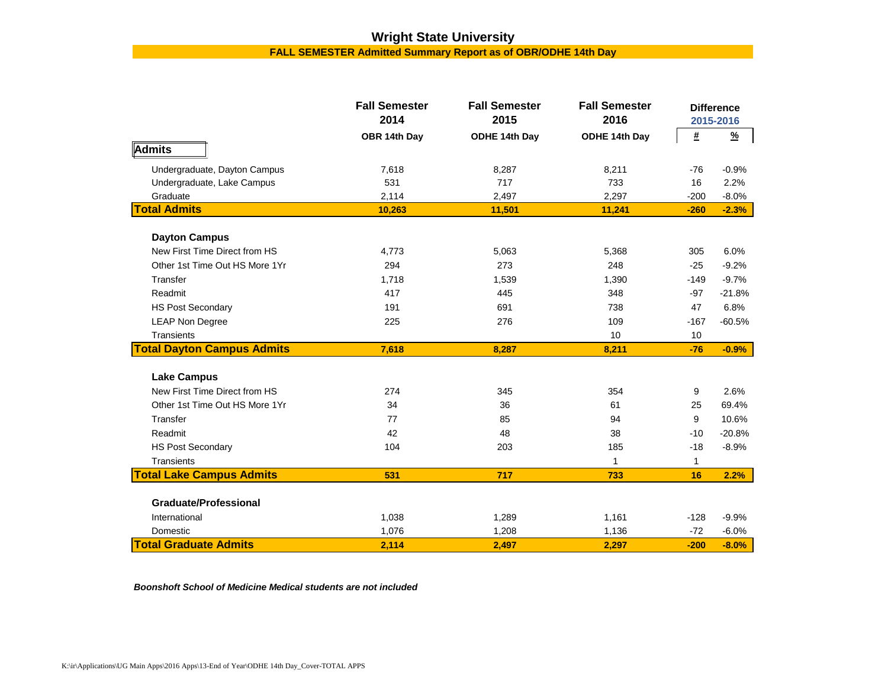# **Wright State University**

**FALL SEMESTER Admitted Summary Report as of OBR/ODHE 14th Day**

|                                   | <b>Fall Semester</b><br>2014 | <b>Fall Semester</b><br>2015 | <b>Fall Semester</b><br>2016 |              | <b>Difference</b><br>2015-2016 |
|-----------------------------------|------------------------------|------------------------------|------------------------------|--------------|--------------------------------|
|                                   | OBR 14th Day                 | ODHE 14th Day                | ODHE 14th Day                | #            | $\frac{9}{6}$                  |
| Admits                            |                              |                              |                              |              |                                |
| Undergraduate, Dayton Campus      | 7,618                        | 8,287                        | 8,211                        | $-76$        | $-0.9%$                        |
| Undergraduate, Lake Campus        | 531                          | 717                          | 733                          | 16           | 2.2%                           |
| Graduate                          | 2,114                        | 2,497                        | 2,297                        | $-200$       | $-8.0%$                        |
| <b>Total Admits</b>               | 10,263                       | 11,501                       | 11,241                       | $-260$       | $-2.3%$                        |
| <b>Dayton Campus</b>              |                              |                              |                              |              |                                |
| New First Time Direct from HS     | 4,773                        | 5,063                        | 5,368                        | 305          | 6.0%                           |
| Other 1st Time Out HS More 1Yr    | 294                          | 273                          | 248                          | $-25$        | $-9.2%$                        |
| Transfer                          | 1,718                        | 1,539                        | 1,390                        | $-149$       | $-9.7%$                        |
| Readmit                           | 417                          | 445                          | 348                          | $-97$        | $-21.8%$                       |
| <b>HS Post Secondary</b>          | 191                          | 691                          | 738                          | 47           | 6.8%                           |
| <b>LEAP Non Degree</b>            | 225                          | 276                          | 109                          | $-167$       | $-60.5%$                       |
| Transients                        |                              |                              | 10                           | 10           |                                |
| <b>Total Dayton Campus Admits</b> | 7,618                        | 8,287                        | 8,211                        | $-76$        | $-0.9%$                        |
| <b>Lake Campus</b>                |                              |                              |                              |              |                                |
| New First Time Direct from HS     | 274                          | 345                          | 354                          | 9            | 2.6%                           |
| Other 1st Time Out HS More 1Yr    | 34                           | 36                           | 61                           | 25           | 69.4%                          |
| Transfer                          | 77                           | 85                           | 94                           | 9            | 10.6%                          |
| Readmit                           | 42                           | 48                           | 38                           | $-10$        | $-20.8%$                       |
| <b>HS Post Secondary</b>          | 104                          | 203                          | 185                          | $-18$        | $-8.9%$                        |
| Transients                        |                              |                              | 1                            | $\mathbf{1}$ |                                |
| <b>Total Lake Campus Admits</b>   | 531                          | 717                          | 733                          | 16           | 2.2%                           |
| <b>Graduate/Professional</b>      |                              |                              |                              |              |                                |
| International                     | 1,038                        | 1,289                        | 1,161                        | $-128$       | $-9.9%$                        |
| Domestic                          | 1,076                        | 1,208                        | 1,136                        | $-72$        | $-6.0%$                        |
| <b>Total Graduate Admits</b>      | 2,114                        | 2,497                        | 2,297                        | $-200$       | $-8.0%$                        |

*Boonshoft School of Medicine Medical students are not included*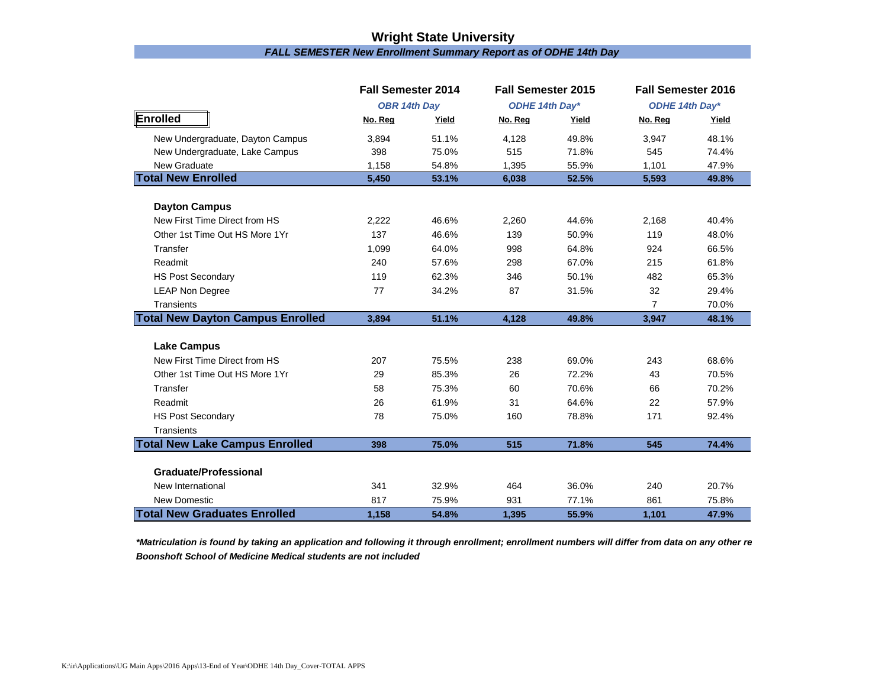### *FALL SEMESTER New Enrollment Summary Report as of ODHE 14th Day* **Wright State University**

|                                         | <b>Fall Semester 2014</b> |       | <b>Fall Semester 2015</b> |       | <b>Fall Semester 2016</b> |       |
|-----------------------------------------|---------------------------|-------|---------------------------|-------|---------------------------|-------|
|                                         | <b>OBR 14th Day</b>       |       | ODHE 14th Day*            |       | ODHE 14th Day*            |       |
| Enrolled                                | No. Reg                   | Yield | No. Reg                   | Yield | No. Reg                   | Yield |
| New Undergraduate, Dayton Campus        | 3,894                     | 51.1% | 4.128                     | 49.8% | 3,947                     | 48.1% |
| New Undergraduate, Lake Campus          | 398                       | 75.0% | 515                       | 71.8% | 545                       | 74.4% |
| New Graduate                            | 1,158                     | 54.8% | 1,395                     | 55.9% | 1,101                     | 47.9% |
| <b>Total New Enrolled</b>               | 5,450                     | 53.1% | 6,038                     | 52.5% | 5,593                     | 49.8% |
| <b>Dayton Campus</b>                    |                           |       |                           |       |                           |       |
| New First Time Direct from HS           | 2,222                     | 46.6% | 2,260                     | 44.6% | 2,168                     | 40.4% |
| Other 1st Time Out HS More 1Yr          | 137                       | 46.6% | 139                       | 50.9% | 119                       | 48.0% |
| Transfer                                | 1,099                     | 64.0% | 998                       | 64.8% | 924                       | 66.5% |
| Readmit                                 | 240                       | 57.6% | 298                       | 67.0% | 215                       | 61.8% |
| <b>HS Post Secondary</b>                | 119                       | 62.3% | 346                       | 50.1% | 482                       | 65.3% |
| <b>LEAP Non Degree</b>                  | 77                        | 34.2% | 87                        | 31.5% | 32                        | 29.4% |
| Transients                              |                           |       |                           |       | $\overline{7}$            | 70.0% |
| <b>Total New Dayton Campus Enrolled</b> | 3,894                     | 51.1% | 4,128                     | 49.8% | 3,947                     | 48.1% |
| <b>Lake Campus</b>                      |                           |       |                           |       |                           |       |
| New First Time Direct from HS           | 207                       | 75.5% | 238                       | 69.0% | 243                       | 68.6% |
| Other 1st Time Out HS More 1Yr          | 29                        | 85.3% | 26                        | 72.2% | 43                        | 70.5% |
| Transfer                                | 58                        | 75.3% | 60                        | 70.6% | 66                        | 70.2% |
| Readmit                                 | 26                        | 61.9% | 31                        | 64.6% | 22                        | 57.9% |
| <b>HS Post Secondary</b>                | 78                        | 75.0% | 160                       | 78.8% | 171                       | 92.4% |
| Transients                              |                           |       |                           |       |                           |       |
| <b>Total New Lake Campus Enrolled</b>   | 398                       | 75.0% | 515                       | 71.8% | 545                       | 74.4% |
|                                         |                           |       |                           |       |                           |       |
| <b>Graduate/Professional</b>            |                           |       |                           |       |                           |       |
| New International                       | 341                       | 32.9% | 464                       | 36.0% | 240                       | 20.7% |
| <b>New Domestic</b>                     | 817                       | 75.9% | 931                       | 77.1% | 861                       | 75.8% |
| <b>Total New Graduates Enrolled</b>     | 1,158                     | 54.8% | 1,395                     | 55.9% | 1,101                     | 47.9% |

*\*Matriculation is found by taking an application and following it through enrollment; enrollment numbers will differ from data on any other re Boonshoft School of Medicine Medical students are not included*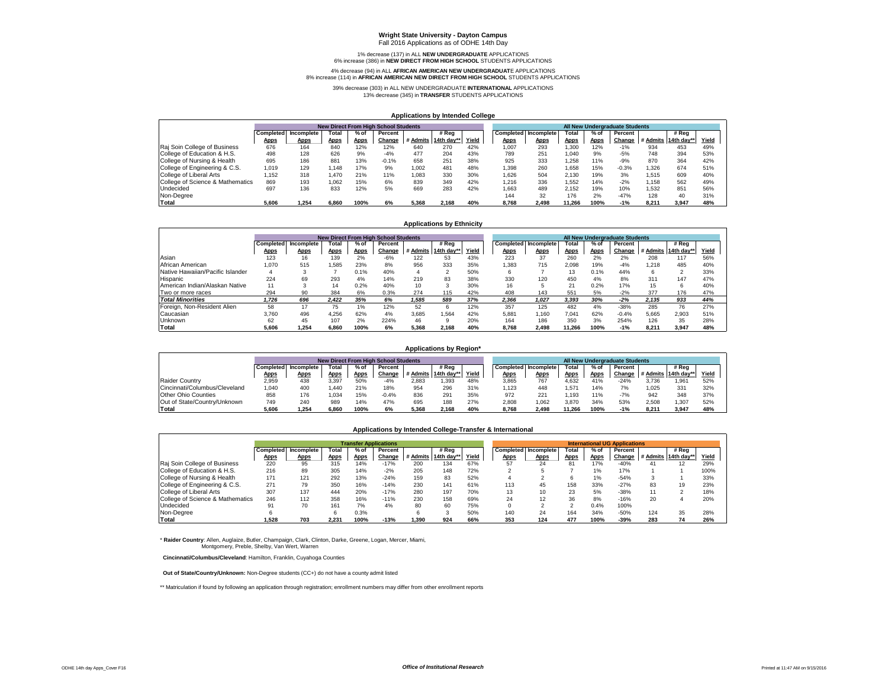## **Wright State University - Dayton Campus** Fall 2016 Applications as of ODHE 14th Day

1% decrease (137) in ALL **NEW UNDERGRADUATE** APPLICATIONS 6% increase (386) in **NEW DIRECT FROM HIGH SCHOOL** STUDENTS APPLICATIONS

#### 4% decrease (94) in ALL **AFRICAN AMERICAN NEW UNDERGRADUAT**E APPLICATIONS 8% increase (114) in **AFRICAN AMERICAN NEW DIRECT FROM HIGH SCHOOL** STUDENTS APPLICATIONS

39% decrease (303) in ALL NEW UNDERGRADUATE **INTERNATIONAL** APPLICATIONS 13% decrease (345) in **TRANSFER** STUDENTS APPLICATIONS

#### **Applications by Intended College**

|                                  | <b>New Direct From High School Students</b><br># Rea<br>Total<br>$%$ of<br>Completed Incomplete<br>Percent |             |             |             |         |       |                     |       |       |                             |             |             | All New Undergraduate Students |       |                     |       |
|----------------------------------|------------------------------------------------------------------------------------------------------------|-------------|-------------|-------------|---------|-------|---------------------|-------|-------|-----------------------------|-------------|-------------|--------------------------------|-------|---------------------|-------|
|                                  |                                                                                                            |             |             |             |         |       |                     |       |       | <b>Completed Incomplete</b> | Total       | $%$ of      | Percent                        |       | # Rea               |       |
|                                  | <b>Apps</b>                                                                                                | <b>Apps</b> | <b>Apps</b> | <b>Apps</b> | Change  |       | # Admits 14th day** | Yield | Apps  | <u>Apps</u>                 | <b>Apps</b> | <b>Apps</b> | Change                         |       | # Admits 14th day** | Yield |
| Raj Soin College of Business     | 676                                                                                                        | 164         | 840         | 12%         | 12%     | 640   | 270                 | 42%   | 1.007 | 293                         | 1.300       | 12%         | $-1%$                          | 934   | 453                 | 49%   |
| College of Education & H.S.      | 498                                                                                                        | 128         | 626         | 9%          | $-4%$   | 477   | 204                 | 43%   | 789   | 251                         | 1.040       | 9%          | $-5%$                          | 748   | 394                 | 53%   |
| College of Nursing & Health      | 695                                                                                                        | 186         | 881         | 13%         | $-0.1%$ | 658   | 251                 | 38%   | 925   | 333                         | 1.258       | 11%         | $-9%$                          | 870   | 364                 | 42%   |
| College of Engineering & C.S.    | 1.019                                                                                                      | 129         | .148        | 17%         | 9%      | 1.002 | 481                 | 48%   | 1.398 | 260                         | 1.658       | 15%         | $-0.3%$                        | .326  | 674                 | 51%   |
| College of Liberal Arts          | 1.152                                                                                                      | 318         | 1.470       | 21%         | 11%     | 1.083 | 330                 | 30%   | 1.626 | 504                         | 2.130       | 19%         | 3%                             | 515ء  | 609                 | 40%   |
| College of Science & Mathematics | 869                                                                                                        | 193         | 1.062       | 15%         | 6%      | 839   | 349                 | 42%   | 1.216 | 336                         | 1.552       | 14%         | $-2%$                          | 1.158 | 562                 | 49%   |
| Undecided                        | 697                                                                                                        | 136         | 833         | 12%         | 5%      | 669   | 283                 | 42%   | 1.663 | 489                         | 2.152       | 19%         | 10%                            | 1.532 | 851                 | 56%   |
| Non-Degree                       |                                                                                                            |             |             |             |         |       |                     |       | 144   | 32                          | 176         | 2%          | $-47%$                         | 128   | 40                  | 31%   |
| Total                            | 5.606                                                                                                      | 1.254       | 6.860       | 100%        | 6%      | 5.368 | 2.168               | 40%   | 8.768 | 2.498                       | 11.266      | 100%        | $-1%$                          | 8.211 | 3.947               | 48%   |

#### **Applications by Ethnicity**

|                                  | <b>New Direct From High School Students</b> |             |             |             |         |       |                     |       |             |                      |             |             | All New Undergraduate Students |                     |       |       |
|----------------------------------|---------------------------------------------|-------------|-------------|-------------|---------|-------|---------------------|-------|-------------|----------------------|-------------|-------------|--------------------------------|---------------------|-------|-------|
|                                  | Completed                                   | Incomplete  | Total       | % of        | Percent |       | # Rea               |       |             | Completed Incomplete | Total       | % of        | Percent                        |                     | # Rea |       |
|                                  | <b>Apps</b>                                 | <b>Apps</b> | <b>Apps</b> | <b>Apps</b> | Change  |       | # Admits 14th day** | Yield | <b>Apps</b> | <b>Apps</b>          | <b>Apps</b> | <b>Apps</b> | Change                         | # Admits 14th day** |       | Yield |
| Asian                            | 123                                         | 16          | 139         | 2%          | -6%     | 122   | 53                  | 43%   | 223         | 37                   | 260         | 2%          | 2%                             | 208                 | 117   | 56%   |
| African American                 | 1.070                                       | 515         | 1.585       | 23%         | 8%      | 956   | 333                 | 35%   | .383        | 715                  | 2.098       | 19%         | $-4%$                          | .218                | 485   | 40%   |
| Native Hawaiian/Pacific Islander |                                             |             |             | 0.1%        | 40%     | 4     |                     | 50%   | 6           |                      | 13          | 0.1%        | 44%                            | ĥ                   |       | 33%   |
| Hispanic                         | 224                                         | 69          | 293         | 4%          | 14%     | 219   | 83                  | 38%   | 330         | 120                  | 450         | 4%          | 8%                             | 311                 | 147   | 47%   |
| American Indian/Alaskan Native   | 11                                          |             | 14          | 0.2%        | 40%     | 10    | 3                   | 30%   | 16          |                      | 21          | 0.2%        | 17%                            | 15                  | ĥ     | 40%   |
| Two or more races                | 294                                         | 90          | 384         | 6%          | 0.3%    | 274   | 115                 | 42%   | 408         | 143                  | 551         | 5%          | $-2%$                          | 377                 | 176   | 47%   |
| <b>Total Minorities</b>          | 1.726                                       | 696         | 2.422       | 35%         | 6%      | 1.585 | 589                 | 37%   | 2.366       | 1.027                | 3.393       | 30%         | $-2%$                          | 2.135               | 933   | 44%   |
| Foreign, Non-Resident Alien      | 58                                          | 17          | 75          | 1%          | 12%     | 52    | 6                   | 12%   | 357         | 125                  | 482         | 4%          | $-38%$                         | 285                 | 76    | 27%   |
| Caucasian                        | 3.760                                       | 496         | 4.256       | 62%         | 4%      | 3.685 | 1.564               | 42%   | 5,881       | 1.160                | 7.041       | 62%         | $-0.4%$                        | 5.665               | 2.903 | 51%   |
| Unknown                          | 62                                          | 45          | 107         | 2%          | 224%    | 46    | 9                   | 20%   | 164         | 186                  | 350         | 3%          | 254%                           | 126                 | 35    | 28%   |
| Total                            | 5.606                                       | 1.254       | 6.860       | 100%        | 6%      | 5.368 | 2.168               | 40%   | 8.768       | 2.498                | 11.266      | 100%        | $-1%$                          | 8.211               | 3.947 | 48%   |

### **Applications by Region\***

|                               |             |                      |       |             | <b>New Direct From High School Students</b> |       |                     |       |       |                             |             |             | All New Undergraduate Students |       |                            |       |
|-------------------------------|-------------|----------------------|-------|-------------|---------------------------------------------|-------|---------------------|-------|-------|-----------------------------|-------------|-------------|--------------------------------|-------|----------------------------|-------|
|                               |             | Completed Incomplete | Total | $%$ o       | Percent                                     |       | # Rea               |       |       | <b>Completed Incomplete</b> | Total       | $%$ of      | Percent                        |       | # Rea                      |       |
|                               | <b>Apps</b> | <b>Apps</b>          | Apps  | <b>Apps</b> | Change                                      |       | # Admits 14th day** | Yield | Apps  | Apps                        | <b>Apps</b> | <b>Apps</b> |                                |       | Change # Admits 14th day** | Yield |
| <b>Raider Country</b>         | 2,959       | 438                  | 3.397 | 50%         | $-4%$                                       | 2,883 | .393                | 48%   | 3,865 | 767                         | 4.632       | 41%         | $-24%$                         | 3.736 | .96'                       | 52%   |
| Cincinnati/Columbus/Cleveland | .040        | 400                  | .440  | 21%         | 18%                                         | 954   | 296                 | 31%   | .123  | 448                         | .571        | 14%         | 7%                             | .025  | 331                        | 32%   |
| Other Ohio Counties           | 858         | 176                  | 1.034 | 15%         | $-0.4%$                                     | 836   | 291                 | 35%   | 972   | 221                         | .193        | 11%         | $-7%$                          | 942   | 348                        | 37%   |
| Out of State/Country/Unknown  | 749         | 240                  | 989   | 14%         | 47%                                         | 695   | 188                 | 27%   | 2,808 | 1.062                       | 3,870       | 34%         | 53%                            | 2.508 | .307                       | 52%   |
| Total                         | 5.606       | 1.254                | 6.860 | 100%        | 6%                                          | 5.368 | 2.168               | 40%   | 8.768 | 2.498                       | 11.266      | 100%        | $-1%$                          | 8.21  | 3.947                      | 48%   |

#### **Applications by Intended College-Transfer & International**

|                                  |       |                      |             |      | <b>Transfer Applications</b> |       |                     |       |             |                      |                |             | <b>International UG Applications</b> |                     |       |       |
|----------------------------------|-------|----------------------|-------------|------|------------------------------|-------|---------------------|-------|-------------|----------------------|----------------|-------------|--------------------------------------|---------------------|-------|-------|
|                                  |       | Completed Incomplete | Total       | % of | Percent                      |       | # Rea               |       |             | Completed Incomplete | <b>Total</b>   | $%$ of      | Percent                              |                     | # Rea |       |
|                                  | Apps  | <b>Apps</b>          | <b>Apps</b> | Apps | Change                       |       | # Admits 14th day** | Yield | <b>Apps</b> | <b>Apps</b>          | <b>Apps</b>    | <b>Apps</b> | Change                               | # Admits 14th day** |       | Yield |
| Raj Soin College of Business     | 220   | 95                   | 315         | 14%  | $-17%$                       | 200   | 134                 | 67%   | 57          | 24                   | 81             | 17%         | $-40%$                               | 41                  |       | 29%   |
| College of Education & H.S.      | 216   | 89                   | 305         | 14%  | $-2%$                        | 205   | 148                 | 72%   |             |                      |                | 1%          | 17%                                  |                     |       | 100%  |
| College of Nursing & Health      | 171   | 121                  | 292         | 13%  | $-24%$                       | 159   | 83                  | 52%   |             |                      | ี              | 1%          | $-54%$                               |                     |       | 33%   |
| College of Engineering & C.S.    | 271   | 79                   | 350         | 16%  | $-14%$                       | 230   | 141                 | 61%   | 113         | 45                   | 158            | 33%         | $-27%$                               | 83                  | 19    | 23%   |
| College of Liberal Arts          | 307   | 137                  | 444         | 20%  | $-17%$                       | 280   | 197                 | 70%   | 13          | 10                   | 23             | 5%          | $-38%$                               | 11                  |       | 18%   |
| College of Science & Mathematics | 246   | 112                  | 358         | 16%  | $-11%$                       | 230   | 158                 | 69%   | 24          | 12                   | 36             | 8%          | $-16%$                               | 20                  |       | 20%   |
| Undecided                        | 91    | 70                   | 161         | 7%   | 4%                           | 80    | 60                  | 75%   | 0           |                      | $\overline{ }$ | 0.4%        | 100%                                 |                     |       |       |
| Non-Degree                       |       |                      |             | 0.3% |                              |       |                     | 50%   | 140         | 24                   | 164            | 34%         | $-50%$                               | 124                 | 35    | 28%   |
| Total                            | 1.528 | 703                  | 2.231       | 100% | $-13%$                       | 1.390 | 924                 | 66%   | 353         | 124                  | 477            | 100%        | $-39%$                               | 283                 |       | 26%   |

\* **Raider Country**: Allen, Auglaize, Butler, Champaign, Clark, Clinton, Darke, Greene, Logan, Mercer, Miami, Montgomery, Preble, Shelby, Van Wert, Warren

 **Cincinnati/Columbus/Cleveland**: Hamilton, Franklin, Cuyahoga Counties

 **Out of State/Country/Unknown:** Non-Degree students (CC+) do not have a county admit listed

\*\* Matriculation if found by following an application through registration; enrollment numbers may differ from other enrollment reports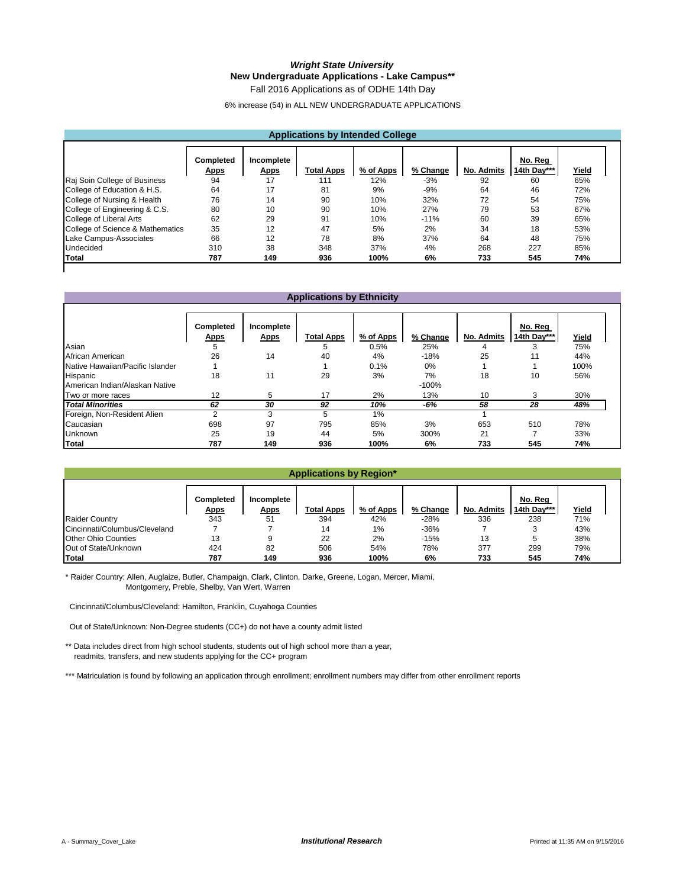### *Wright State University* **New Undergraduate Applications - Lake Campus\*\***

Fall 2016 Applications as of ODHE 14th Day

6% increase (54) in ALL NEW UNDERGRADUATE APPLICATIONS

### **Applications by Intended College**

|                                  | Completed<br><b>Apps</b> | Incomplete<br><b>Apps</b> | <b>Total Apps</b> | % of Apps | % Change | No. Admits | No. Reg<br>14th Day*** | Yield |
|----------------------------------|--------------------------|---------------------------|-------------------|-----------|----------|------------|------------------------|-------|
| Raj Soin College of Business     | 94                       | 17                        | 111               | 12%       | $-3%$    | 92         | 60                     | 65%   |
| College of Education & H.S.      | 64                       | 17                        | 81                | 9%        | $-9%$    | 64         | 46                     | 72%   |
| College of Nursing & Health      | 76                       | 14                        | 90                | 10%       | 32%      | 72         | 54                     | 75%   |
| College of Engineering & C.S.    | 80                       | 10                        | 90                | 10%       | 27%      | 79         | 53                     | 67%   |
| College of Liberal Arts          | 62                       | 29                        | 91                | 10%       | $-11%$   | 60         | 39                     | 65%   |
| College of Science & Mathematics | 35                       | 12                        | 47                | 5%        | 2%       | 34         | 18                     | 53%   |
| Lake Campus-Associates           | 66                       | 12                        | 78                | 8%        | 37%      | 64         | 48                     | 75%   |
| Undecided                        | 310                      | 38                        | 348               | 37%       | 4%       | 268        | 227                    | 85%   |
| Total                            | 787                      | 149                       | 936               | 100%      | 6%       | 733        | 545                    | 74%   |

### **Applications by Ethnicity**

|                                  | Completed<br><b>Apps</b> | Incomplete<br><b>Apps</b> | <b>Total Apps</b> | % of Apps | % Change | No. Admits | No. Reg<br>14th Day*** | Yield |
|----------------------------------|--------------------------|---------------------------|-------------------|-----------|----------|------------|------------------------|-------|
| Asian                            | 5                        |                           | 5                 | 0.5%      | 25%      | 4          |                        | 75%   |
| African American                 | 26                       | 14                        | 40                | 4%        | $-18%$   | 25         | 11                     | 44%   |
| Native Hawaiian/Pacific Islander |                          |                           |                   | 0.1%      | $0\%$    |            |                        | 100%  |
| Hispanic                         | 18                       | 11                        | 29                | 3%        | 7%       | 18         | 10                     | 56%   |
| American Indian/Alaskan Native   |                          |                           |                   |           | $-100%$  |            |                        |       |
| Two or more races                | 12                       | 5                         | 17                | 2%        | 13%      | 10         | 3                      | 30%   |
| <b>Total Minorities</b>          | 62                       | 30                        | 92                | 10%       | -6%      | 58         | 28                     | 48%   |
| Foreign, Non-Resident Alien      | C                        | 3                         | 5                 | 1%        |          |            |                        |       |
| Caucasian                        | 698                      | 97                        | 795               | 85%       | 3%       | 653        | 510                    | 78%   |
| <b>Unknown</b>                   | 25                       | 19                        | 44                | 5%        | 300%     | 21         |                        | 33%   |
| <b>Total</b>                     | 787                      | 149                       | 936               | 100%      | 6%       | 733        | 545                    | 74%   |

### **Applications by Region\***

|                               |                                 |                           | ----------------- | _______   |          |                   |                        |       |  |
|-------------------------------|---------------------------------|---------------------------|-------------------|-----------|----------|-------------------|------------------------|-------|--|
|                               |                                 |                           |                   |           |          |                   |                        |       |  |
|                               | <b>Completed</b><br><b>Apps</b> | Incomplete<br><u>Apps</u> | <b>Total Apps</b> | % of Apps | % Change | <b>No. Admits</b> | No. Reg<br>14th Day*** | Yield |  |
| <b>Raider Country</b>         | 343                             | 51                        | 394               | 42%       | $-28%$   | 336               | 238                    | 71%   |  |
| Cincinnati/Columbus/Cleveland |                                 |                           | 14                | $1\%$     | $-36%$   |                   |                        | 43%   |  |
| <b>Other Ohio Counties</b>    | 13                              |                           | 22                | 2%        | $-15%$   | 13                |                        | 38%   |  |
| Out of State/Unknown          | 424                             | 82                        | 506               | 54%       | 78%      | 377               | 299                    | 79%   |  |
| Total                         | 787                             | 149                       | 936               | 100%      | 6%       | 733               | 545                    | 74%   |  |

\* Raider Country: Allen, Auglaize, Butler, Champaign, Clark, Clinton, Darke, Greene, Logan, Mercer, Miami, Montgomery, Preble, Shelby, Van Wert, Warren

Cincinnati/Columbus/Cleveland: Hamilton, Franklin, Cuyahoga Counties

Out of State/Unknown: Non-Degree students (CC+) do not have a county admit listed

\*\* Data includes direct from high school students, students out of high school more than a year, readmits, transfers, and new students applying for the CC+ program

\*\*\* Matriculation is found by following an application through enrollment; enrollment numbers may differ from other enrollment reports